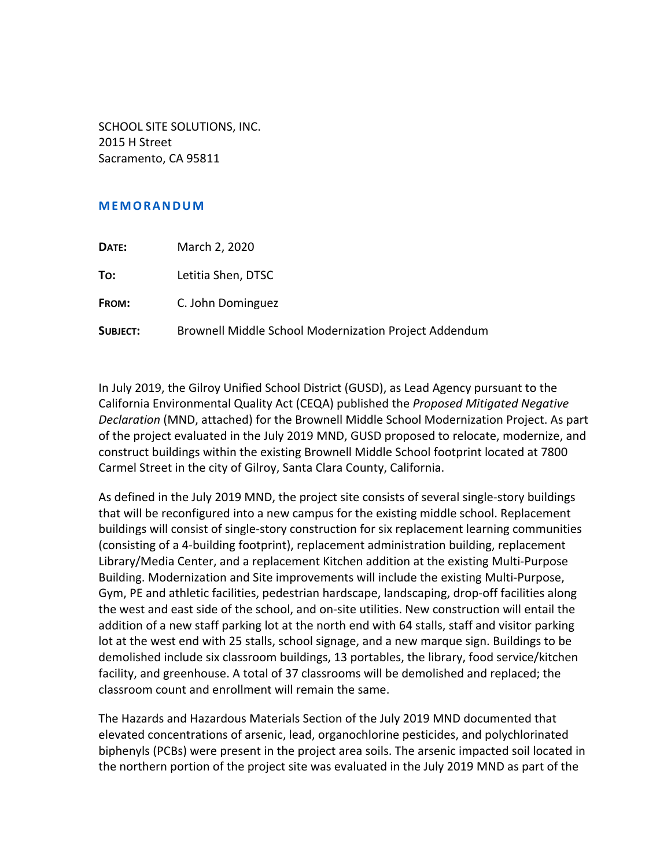SCHOOL SITE SOLUTIONS, INC. 2015 H Street Sacramento, CA 95811

## **MEMORANDUM**

| DATE:    | March 2, 2020                                         |
|----------|-------------------------------------------------------|
| To:      | Letitia Shen, DTSC                                    |
| FROM:    | C. John Dominguez                                     |
| SUBJECT: | Brownell Middle School Modernization Project Addendum |

In July 2019, the Gilroy Unified School District (GUSD), as Lead Agency pursuant to the California Environmental Quality Act (CEQA) published the *Proposed Mitigated Negative Declaration* (MND, attached) for the Brownell Middle School Modernization Project. As part of the project evaluated in the July 2019 MND, GUSD proposed to relocate, modernize, and construct buildings within the existing Brownell Middle School footprint located at 7800 Carmel Street in the city of Gilroy, Santa Clara County, California.

As defined in the July 2019 MND, the project site consists of several single‐story buildings that will be reconfigured into a new campus for the existing middle school. Replacement buildings will consist of single‐story construction for six replacement learning communities (consisting of a 4‐building footprint), replacement administration building, replacement Library/Media Center, and a replacement Kitchen addition at the existing Multi‐Purpose Building. Modernization and Site improvements will include the existing Multi‐Purpose, Gym, PE and athletic facilities, pedestrian hardscape, landscaping, drop‐off facilities along the west and east side of the school, and on‐site utilities. New construction will entail the addition of a new staff parking lot at the north end with 64 stalls, staff and visitor parking lot at the west end with 25 stalls, school signage, and a new marque sign. Buildings to be demolished include six classroom buildings, 13 portables, the library, food service/kitchen facility, and greenhouse. A total of 37 classrooms will be demolished and replaced; the classroom count and enrollment will remain the same.

The Hazards and Hazardous Materials Section of the July 2019 MND documented that elevated concentrations of arsenic, lead, organochlorine pesticides, and polychlorinated biphenyls (PCBs) were present in the project area soils. The arsenic impacted soil located in the northern portion of the project site was evaluated in the July 2019 MND as part of the